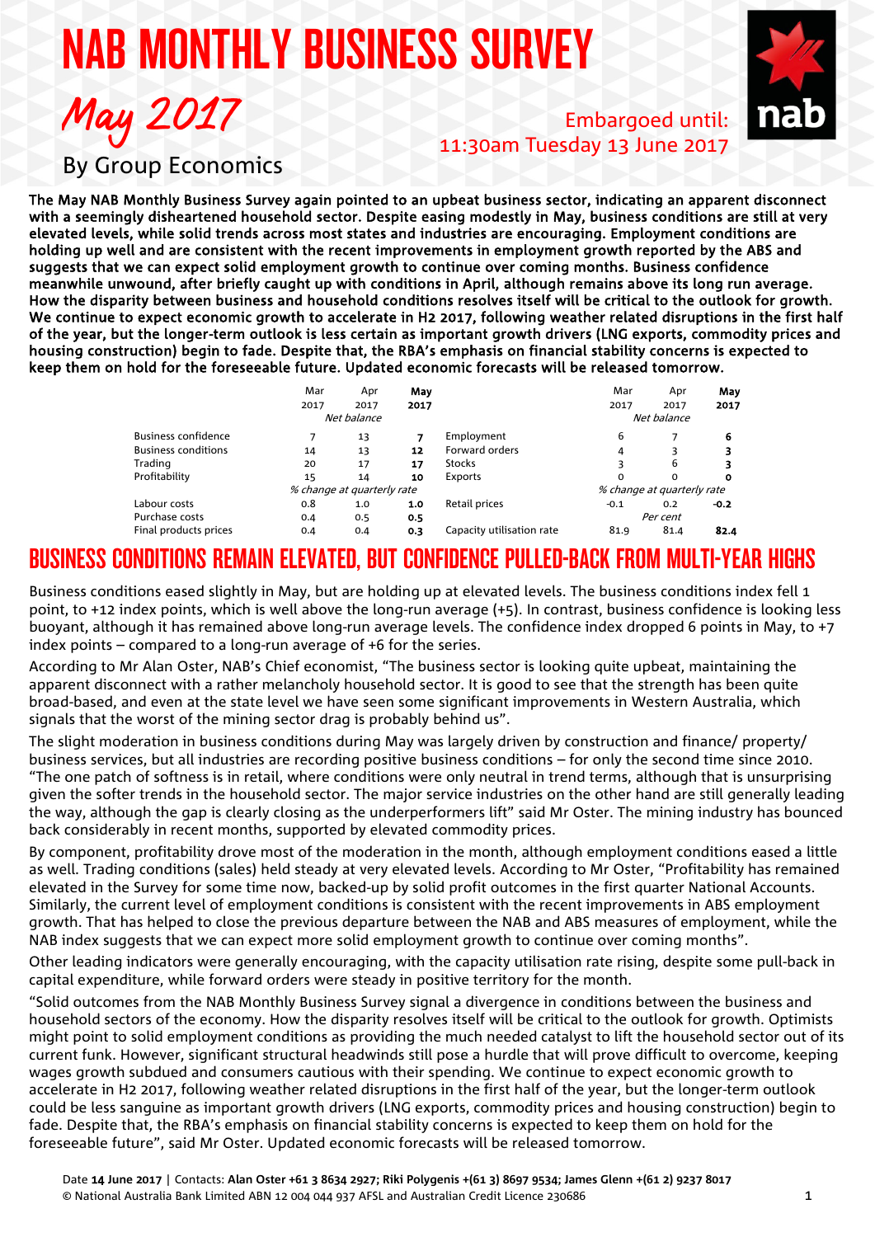# NAB MONTHLY BUSINESS SURVEY



Embargoed until: 11:30am Tuesday 13 June 2017

By Group Economics

May 2017

The May NAB Monthly Business Survey again pointed to an upbeat business sector, indicating an apparent disconnect with a seemingly disheartened household sector. Despite easing modestly in May, business conditions are still at very elevated levels, while solid trends across most states and industries are encouraging. Employment conditions are holding up well and are consistent with the recent improvements in employment growth reported by the ABS and suggests that we can expect solid employment growth to continue over coming months. Business confidence meanwhile unwound, after briefly caught up with conditions in April, although remains above its long run average. How the disparity between business and household conditions resolves itself will be critical to the outlook for growth. We continue to expect economic growth to accelerate in H2 2017, following weather related disruptions in the first half of the year, but the longer-term outlook is less certain as important growth drivers (LNG exports, commodity prices and housing construction) begin to fade. Despite that, the RBA's emphasis on financial stability concerns is expected to keep them on hold for the foreseeable future. Updated economic forecasts will be released tomorrow.

|                            | Mar<br>2017 | Apr<br>2017                | May<br>2017 |                           | Mar<br>2017                | Apr<br>2017 | May    |
|----------------------------|-------------|----------------------------|-------------|---------------------------|----------------------------|-------------|--------|
|                            |             |                            |             |                           |                            |             | 2017   |
|                            | Net balance |                            |             |                           | Net balance                |             |        |
| <b>Business confidence</b> |             | 13                         |             | Employment                | 6                          |             | 6      |
| <b>Business conditions</b> | 14          | 13                         | 12          | Forward orders            | 4                          |             |        |
| Trading                    | 20          | 17                         | 17          | <b>Stocks</b>             | 3                          | 6           | 3      |
| Profitability              | 15          | 14                         | 10          | Exports                   | $\Omega$                   | $\Omega$    | 0      |
|                            |             | % change at quarterly rate |             |                           | % change at quarterly rate |             |        |
| Labour costs               | 0.8         | 1.0                        | 1.0         | Retail prices             | $-0.1$                     | 0.2         | $-0.2$ |
| Purchase costs             | 0.4         | 0.5                        | 0.5         |                           | Per cent                   |             |        |
| Final products prices      | 0.4         | 0.4                        | 0.3         | Capacity utilisation rate | 81.9                       | 81.4        | 82.4   |

## BUSINESS CONDITIONS REMAIN ELEVATED, BUT CONFIDENCE PULLED-BACK FROM MULTI-YEAR HIGHS

Business conditions eased slightly in May, but are holding up at elevated levels. The business conditions index fell 1 point, to +12 index points, which is well above the long-run average (+5). In contrast, business confidence is looking less buoyant, although it has remained above long-run average levels. The confidence index dropped 6 points in May, to +7 index points – compared to a long-run average of +6 for the series.

According to Mr Alan Oster, NAB's Chief economist, "The business sector is looking quite upbeat, maintaining the apparent disconnect with a rather melancholy household sector. It is good to see that the strength has been quite broad-based, and even at the state level we have seen some significant improvements in Western Australia, which signals that the worst of the mining sector drag is probably behind us".

The slight moderation in business conditions during May was largely driven by construction and finance/ property/ business services, but all industries are recording positive business conditions – for only the second time since 2010. "The one patch of softness is in retail, where conditions were only neutral in trend terms, although that is unsurprising given the softer trends in the household sector. The major service industries on the other hand are still generally leading the way, although the gap is clearly closing as the underperformers lift" said Mr Oster. The mining industry has bounced back considerably in recent months, supported by elevated commodity prices.

By component, profitability drove most of the moderation in the month, although employment conditions eased a little as well. Trading conditions (sales) held steady at very elevated levels. According to Mr Oster, "Profitability has remained elevated in the Survey for some time now, backed-up by solid profit outcomes in the first quarter National Accounts. Similarly, the current level of employment conditions is consistent with the recent improvements in ABS employment growth. That has helped to close the previous departure between the NAB and ABS measures of employment, while the NAB index suggests that we can expect more solid employment growth to continue over coming months".

Other leading indicators were generally encouraging, with the capacity utilisation rate rising, despite some pull-back in capital expenditure, while forward orders were steady in positive territory for the month.

"Solid outcomes from the NAB Monthly Business Survey signal a divergence in conditions between the business and household sectors of the economy. How the disparity resolves itself will be critical to the outlook for growth. Optimists might point to solid employment conditions as providing the much needed catalyst to lift the household sector out of its current funk. However, significant structural headwinds still pose a hurdle that will prove difficult to overcome, keeping wages growth subdued and consumers cautious with their spending. We continue to expect economic growth to accelerate in H2 2017, following weather related disruptions in the first half of the year, but the longer-term outlook could be less sanguine as important growth drivers (LNG exports, commodity prices and housing construction) begin to fade. Despite that, the RBA's emphasis on financial stability concerns is expected to keep them on hold for the foreseeable future", said Mr Oster. Updated economic forecasts will be released tomorrow.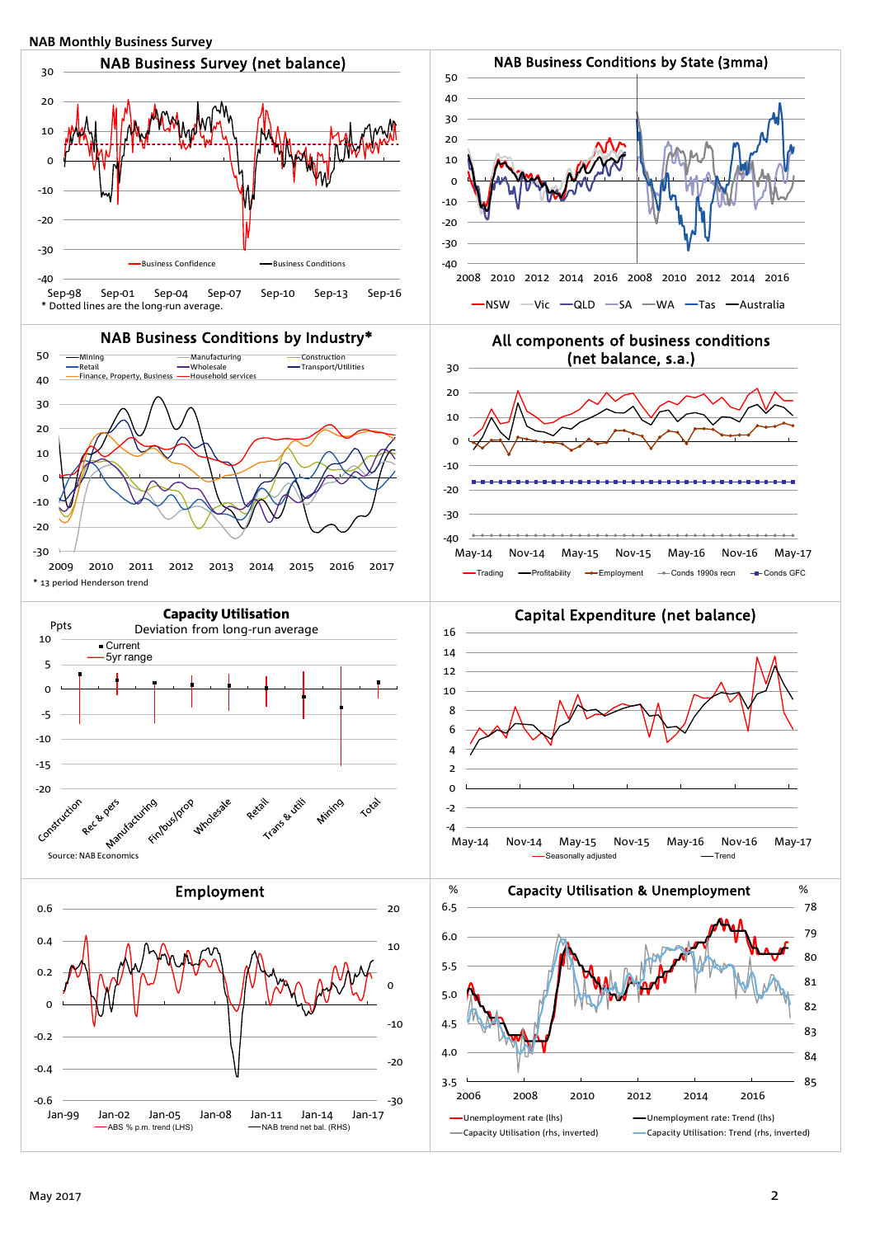